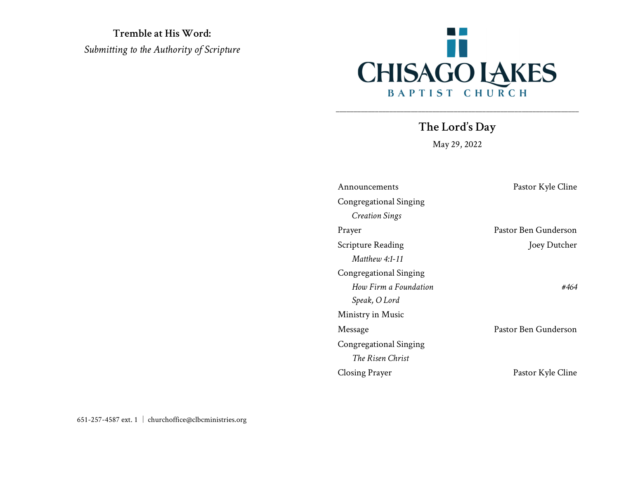Tremble at His Word: Submitting to the Authority of Scripture



The Lord's Day

\_\_\_\_\_\_\_\_\_\_\_\_\_\_\_\_\_\_\_\_\_\_\_\_\_\_\_\_\_\_\_\_\_\_\_\_\_\_\_\_\_\_\_\_\_\_\_\_\_\_\_\_\_\_\_\_\_\_\_\_\_\_\_\_\_\_\_\_

May 29, 2022

| Pastor Kyle Cline<br>Announcements |                      |
|------------------------------------|----------------------|
| Congregational Singing             |                      |
| <b>Creation Sings</b>              |                      |
| Prayer                             | Pastor Ben Gunderson |
| Scripture Reading                  | Joey Dutcher         |
| Matthew 4:1-11                     |                      |
| Congregational Singing             |                      |
| How Firm a Foundation              | #464                 |
| Speak, O Lord                      |                      |
| Ministry in Music                  |                      |
| Message                            | Pastor Ben Gunderson |
| Congregational Singing             |                      |
| The Risen Christ                   |                      |
| <b>Closing Prayer</b>              | Pastor Kyle Cline    |